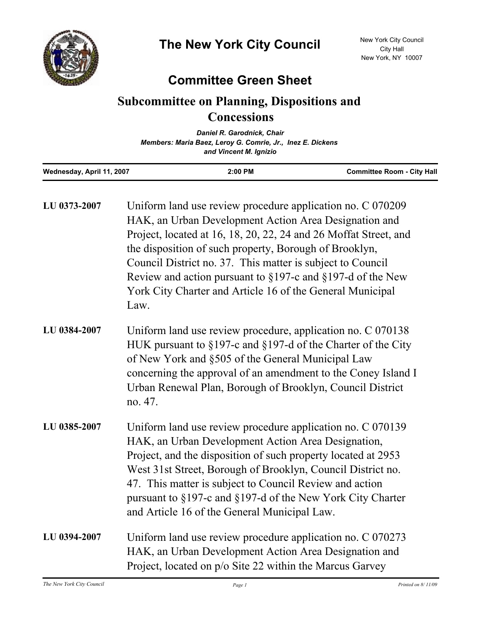

## **Committee Green Sheet**

## **Subcommittee on Planning, Dispositions and Concessions**

|                           | Daniel R. Garodnick, Chair                                                           |                                   |
|---------------------------|--------------------------------------------------------------------------------------|-----------------------------------|
|                           | Members: Maria Baez, Leroy G. Comrie, Jr., Inez E. Dickens<br>and Vincent M. Ignizio |                                   |
|                           |                                                                                      |                                   |
| Wednesday, April 11, 2007 | $2:00$ PM                                                                            | <b>Committee Room - City Hall</b> |

| LU 0373-2007 | Uniform land use review procedure application no. C 070209<br>HAK, an Urban Development Action Area Designation and<br>Project, located at 16, 18, 20, 22, 24 and 26 Moffat Street, and<br>the disposition of such property, Borough of Brooklyn,<br>Council District no. 37. This matter is subject to Council<br>Review and action pursuant to $\S 197$ -c and $\S 197$ -d of the New<br>York City Charter and Article 16 of the General Municipal<br>Law. |
|--------------|--------------------------------------------------------------------------------------------------------------------------------------------------------------------------------------------------------------------------------------------------------------------------------------------------------------------------------------------------------------------------------------------------------------------------------------------------------------|
| LU 0384-2007 | Uniform land use review procedure, application no. C 070138<br>HUK pursuant to §197-c and §197-d of the Charter of the City<br>of New York and §505 of the General Municipal Law<br>concerning the approval of an amendment to the Coney Island I<br>Urban Renewal Plan, Borough of Brooklyn, Council District<br>no. 47.                                                                                                                                    |
| LU 0385-2007 | Uniform land use review procedure application no. C 070139<br>HAK, an Urban Development Action Area Designation,<br>Project, and the disposition of such property located at 2953<br>West 31st Street, Borough of Brooklyn, Council District no.<br>47. This matter is subject to Council Review and action<br>pursuant to §197-c and §197-d of the New York City Charter<br>and Article 16 of the General Municipal Law.                                    |
| LU 0394-2007 | Uniform land use review procedure application no. C 070273<br>HAK, an Urban Development Action Area Designation and<br>Project, located on p/o Site 22 within the Marcus Garvey                                                                                                                                                                                                                                                                              |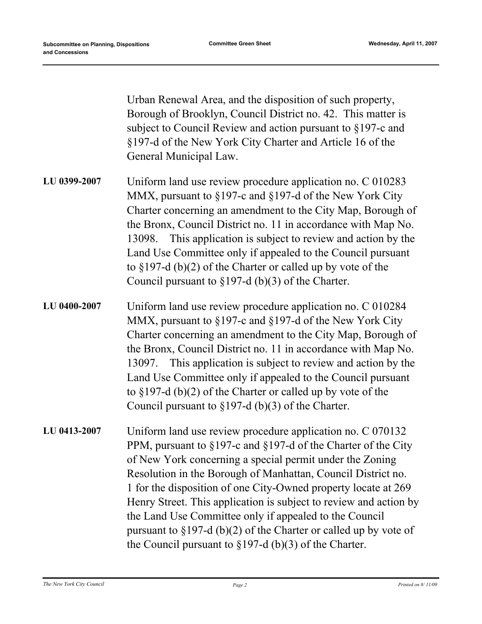Urban Renewal Area, and the disposition of such property, Borough of Brooklyn, Council District no. 42. This matter is subject to Council Review and action pursuant to §197-c and §197-d of the New York City Charter and Article 16 of the General Municipal Law.

- Uniform land use review procedure application no. C 010283 MMX, pursuant to §197-c and §197-d of the New York City Charter concerning an amendment to the City Map, Borough of the Bronx, Council District no. 11 in accordance with Map No. 13098. This application is subject to review and action by the Land Use Committee only if appealed to the Council pursuant to §197-d (b)(2) of the Charter or called up by vote of the Council pursuant to §197-d (b)(3) of the Charter. **LU 0399-2007**
- Uniform land use review procedure application no. C 010284 MMX, pursuant to §197-c and §197-d of the New York City Charter concerning an amendment to the City Map, Borough of the Bronx, Council District no. 11 in accordance with Map No. 13097. This application is subject to review and action by the Land Use Committee only if appealed to the Council pursuant to §197-d (b)(2) of the Charter or called up by vote of the Council pursuant to §197-d (b)(3) of the Charter. **LU 0400-2007**
- Uniform land use review procedure application no. C 070132 PPM, pursuant to §197-c and §197-d of the Charter of the City of New York concerning a special permit under the Zoning Resolution in the Borough of Manhattan, Council District no. 1 for the disposition of one City-Owned property locate at 269 Henry Street. This application is subject to review and action by the Land Use Committee only if appealed to the Council pursuant to §197-d (b)(2) of the Charter or called up by vote of the Council pursuant to  $\S 197-d$  (b)(3) of the Charter. **LU 0413-2007**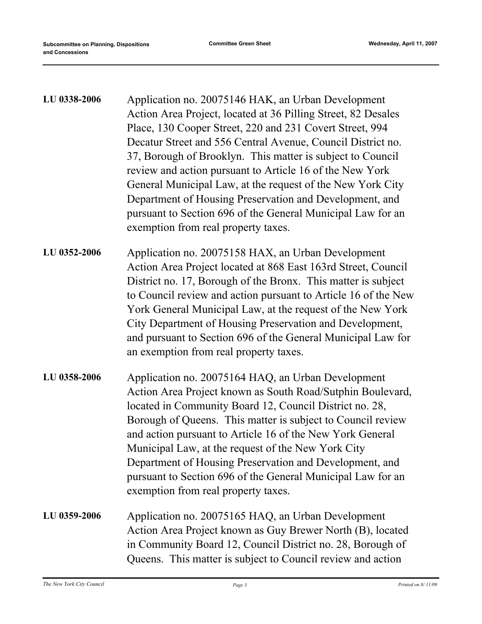| LU 0338-2006 | Application no. 20075146 HAK, an Urban Development<br>Action Area Project, located at 36 Pilling Street, 82 Desales<br>Place, 130 Cooper Street, 220 and 231 Covert Street, 994<br>Decatur Street and 556 Central Avenue, Council District no.<br>37, Borough of Brooklyn. This matter is subject to Council<br>review and action pursuant to Article 16 of the New York<br>General Municipal Law, at the request of the New York City<br>Department of Housing Preservation and Development, and<br>pursuant to Section 696 of the General Municipal Law for an<br>exemption from real property taxes. |
|--------------|---------------------------------------------------------------------------------------------------------------------------------------------------------------------------------------------------------------------------------------------------------------------------------------------------------------------------------------------------------------------------------------------------------------------------------------------------------------------------------------------------------------------------------------------------------------------------------------------------------|
| LU 0352-2006 | Application no. 20075158 HAX, an Urban Development<br>Action Area Project located at 868 East 163rd Street, Council<br>District no. 17, Borough of the Bronx. This matter is subject<br>to Council review and action pursuant to Article 16 of the New<br>York General Municipal Law, at the request of the New York<br>City Department of Housing Preservation and Development,<br>and pursuant to Section 696 of the General Municipal Law for<br>an exemption from real property taxes.                                                                                                              |
| LU 0358-2006 | Application no. 20075164 HAQ, an Urban Development<br>Action Area Project known as South Road/Sutphin Boulevard,<br>located in Community Board 12, Council District no. 28,<br>Borough of Queens. This matter is subject to Council review<br>and action pursuant to Article 16 of the New York General<br>Municipal Law, at the request of the New York City<br>Department of Housing Preservation and Development, and<br>pursuant to Section 696 of the General Municipal Law for an<br>exemption from real property taxes.                                                                          |
| LU 0359-2006 | Application no. 20075165 HAQ, an Urban Development<br>Action Area Project known as Guy Brewer North (B), located<br>in Community Board 12, Council District no. 28, Borough of<br>Queens. This matter is subject to Council review and action                                                                                                                                                                                                                                                                                                                                                           |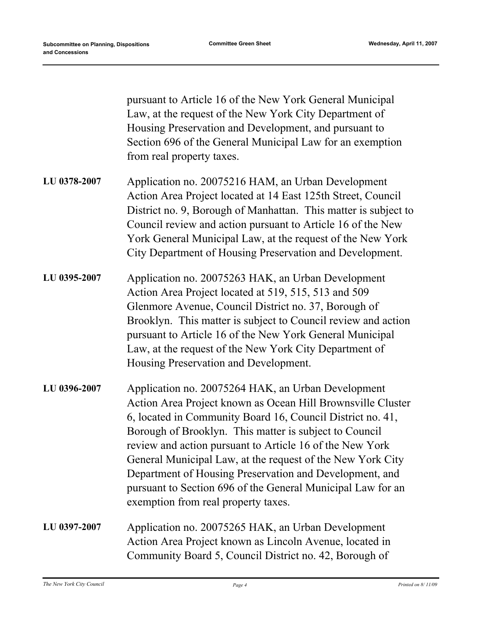pursuant to Article 16 of the New York General Municipal Law, at the request of the New York City Department of Housing Preservation and Development, and pursuant to Section 696 of the General Municipal Law for an exemption from real property taxes. Application no. 20075216 HAM, an Urban Development Action Area Project located at 14 East 125th Street, Council District no. 9, Borough of Manhattan. This matter is subject to Council review and action pursuant to Article 16 of the New York General Municipal Law, at the request of the New York City Department of Housing Preservation and Development. **LU 0378-2007** Application no. 20075263 HAK, an Urban Development Action Area Project located at 519, 515, 513 and 509 Glenmore Avenue, Council District no. 37, Borough of Brooklyn. This matter is subject to Council review and action pursuant to Article 16 of the New York General Municipal Law, at the request of the New York City Department of Housing Preservation and Development. **LU 0395-2007** Application no. 20075264 HAK, an Urban Development Action Area Project known as Ocean Hill Brownsville Cluster 6, located in Community Board 16, Council District no. 41, Borough of Brooklyn. This matter is subject to Council review and action pursuant to Article 16 of the New York General Municipal Law, at the request of the New York City Department of Housing Preservation and Development, and pursuant to Section 696 of the General Municipal Law for an exemption from real property taxes. **LU 0396-2007** Application no. 20075265 HAK, an Urban Development Action Area Project known as Lincoln Avenue, located in **LU 0397-2007**

Community Board 5, Council District no. 42, Borough of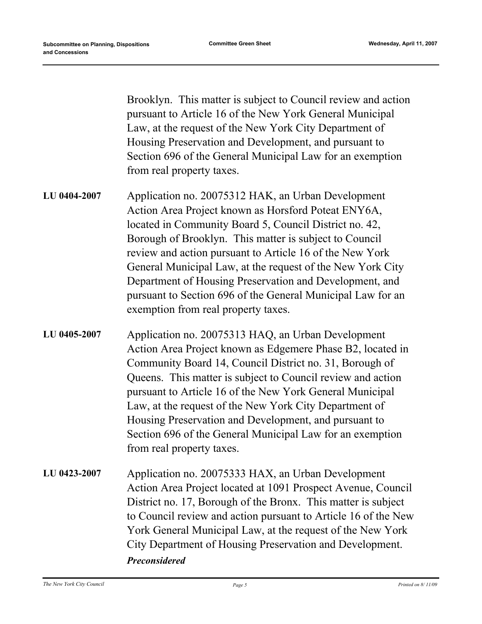Brooklyn. This matter is subject to Council review and action pursuant to Article 16 of the New York General Municipal Law, at the request of the New York City Department of Housing Preservation and Development, and pursuant to Section 696 of the General Municipal Law for an exemption from real property taxes.

- Application no. 20075312 HAK, an Urban Development Action Area Project known as Horsford Poteat ENY6A, located in Community Board 5, Council District no. 42, Borough of Brooklyn. This matter is subject to Council review and action pursuant to Article 16 of the New York General Municipal Law, at the request of the New York City Department of Housing Preservation and Development, and pursuant to Section 696 of the General Municipal Law for an exemption from real property taxes. **LU 0404-2007**
- Application no. 20075313 HAQ, an Urban Development Action Area Project known as Edgemere Phase B2, located in Community Board 14, Council District no. 31, Borough of Queens. This matter is subject to Council review and action pursuant to Article 16 of the New York General Municipal Law, at the request of the New York City Department of Housing Preservation and Development, and pursuant to Section 696 of the General Municipal Law for an exemption from real property taxes. **LU 0405-2007**
- Application no. 20075333 HAX, an Urban Development Action Area Project located at 1091 Prospect Avenue, Council District no. 17, Borough of the Bronx. This matter is subject to Council review and action pursuant to Article 16 of the New York General Municipal Law, at the request of the New York City Department of Housing Preservation and Development. **LU 0423-2007** *Preconsidered*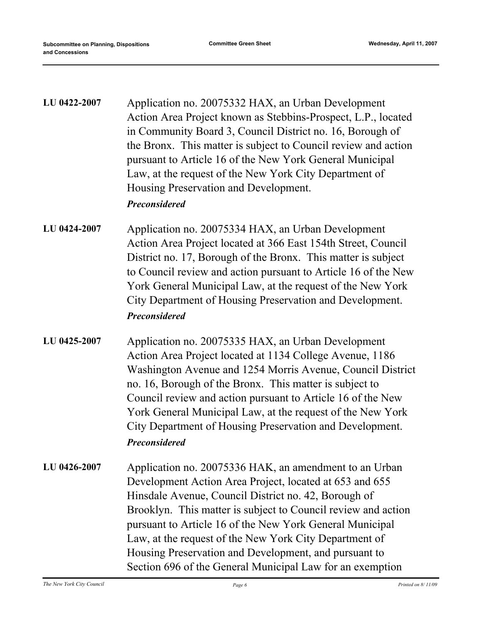| LU 0422-2007 | Application no. 20075332 HAX, an Urban Development<br>Action Area Project known as Stebbins-Prospect, L.P., located<br>in Community Board 3, Council District no. 16, Borough of<br>the Bronx. This matter is subject to Council review and action<br>pursuant to Article 16 of the New York General Municipal<br>Law, at the request of the New York City Department of<br>Housing Preservation and Development.<br><b>Preconsidered</b>                                              |
|--------------|----------------------------------------------------------------------------------------------------------------------------------------------------------------------------------------------------------------------------------------------------------------------------------------------------------------------------------------------------------------------------------------------------------------------------------------------------------------------------------------|
| LU 0424-2007 | Application no. 20075334 HAX, an Urban Development<br>Action Area Project located at 366 East 154th Street, Council<br>District no. 17, Borough of the Bronx. This matter is subject<br>to Council review and action pursuant to Article 16 of the New<br>York General Municipal Law, at the request of the New York<br>City Department of Housing Preservation and Development.<br><b>Preconsidered</b>                                                                               |
| LU 0425-2007 | Application no. 20075335 HAX, an Urban Development<br>Action Area Project located at 1134 College Avenue, 1186<br>Washington Avenue and 1254 Morris Avenue, Council District<br>no. 16, Borough of the Bronx. This matter is subject to<br>Council review and action pursuant to Article 16 of the New<br>York General Municipal Law, at the request of the New York<br>City Department of Housing Preservation and Development.<br><b>Preconsidered</b>                               |
| LU 0426-2007 | Application no. 20075336 HAK, an amendment to an Urban<br>Development Action Area Project, located at 653 and 655<br>Hinsdale Avenue, Council District no. 42, Borough of<br>Brooklyn. This matter is subject to Council review and action<br>pursuant to Article 16 of the New York General Municipal<br>Law, at the request of the New York City Department of<br>Housing Preservation and Development, and pursuant to<br>Section 696 of the General Municipal Law for an exemption |